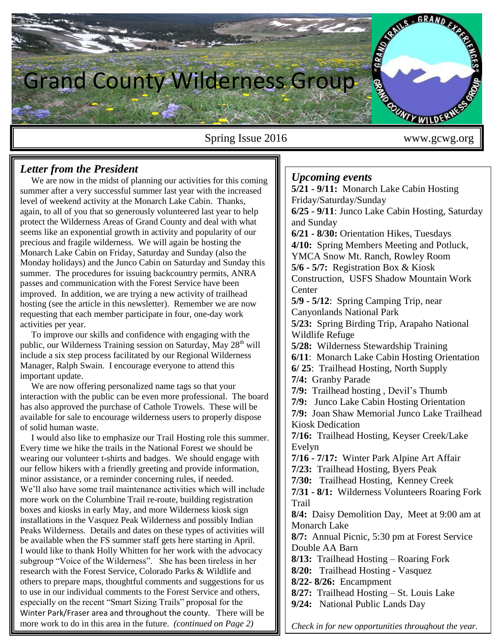

Spring Issue 2016 www.gcwg.org

## *Letter from the President*

We are now in the midst of planning our activities for this coming summer after a very successful summer last year with the increased level of weekend activity at the Monarch Lake Cabin. Thanks, again, to all of you that so generously volunteered last year to help protect the Wilderness Areas of Grand County and deal with what seems like an exponential growth in activity and popularity of our precious and fragile wilderness. We will again be hosting the Monarch Lake Cabin on Friday, Saturday and Sunday (also the Monday holidays) and the Junco Cabin on Saturday and Sunday this summer. The procedures for issuing backcountry permits, ANRA passes and communication with the Forest Service have been improved. In addition, we are trying a new activity of trailhead hosting (see the article in this newsletter). Remember we are now requesting that each member participate in four, one-day work activities per year.

 To improve our skills and confidence with engaging with the public, our Wilderness Training session on Saturday, May  $28<sup>th</sup>$  will include a six step process facilitated by our Regional Wilderness Manager, Ralph Swain. I encourage everyone to attend this important update.

 We are now offering personalized name tags so that your interaction with the public can be even more professional. The board has also approved the purchase of Cathole Trowels. These will be available for sale to encourage wilderness users to properly dispose of solid human waste.

 I would also like to emphasize our Trail Hosting role this summer. Every time we hike the trails in the National Forest we should be wearing our volunteer t-shirts and badges. We should engage with our fellow hikers with a friendly greeting and provide information, minor assistance, or a reminder concerning rules, if needed. We'll also have some trail maintenance activities which will include more work on the Columbine Trail re-route, building registration boxes and kiosks in early May, and more Wilderness kiosk sign installations in the Vasquez Peak Wilderness and possibly Indian Peaks Wilderness. Details and dates on these types of activities will be available when the FS summer staff gets here starting in April. I would like to thank Holly Whitten for her work with the advocacy subgroup "Voice of the Wilderness". She has been tireless in her research with the Forest Service, Colorado Parks & Wildlife and others to prepare maps, thoughtful comments and suggestions for us to use in our individual comments to the Forest Service and others, especially on the recent "Smart Sizing Trails" proposal for the Winter Park/Fraser area and throughout the county. There will be more work to do in this area in the future. *(continued on Page 2)*

### *Upcoming events*

**5/21 - 9/11:** Monarch Lake Cabin Hosting Friday/Saturday/Sunday **6/25 - 9/11**: Junco Lake Cabin Hosting, Saturday and Sunday **6/21 - 8/30:** Orientation Hikes, Tuesdays **4/10:** Spring Members Meeting and Potluck, YMCA Snow Mt. Ranch, Rowley Room **5/6 - 5/7:** Registration Box & Kiosk Construction, USFS Shadow Mountain Work **Center 5/9 - 5/12**: Spring Camping Trip, near Canyonlands National Park **5/23:** Spring Birding Trip, Arapaho National Wildlife Refuge **5/28:** Wilderness Stewardship Training **6/11**: Monarch Lake Cabin Hosting Orientation **6/ 25**: Trailhead Hosting, North Supply **7/4:** Granby Parade **7/9:** Trailhead hosting , Devil's Thumb **7/9:** Junco Lake Cabin Hosting Orientation **7/9:** Joan Shaw Memorial Junco Lake Trailhead Kiosk Dedication **7/16:** Trailhead Hosting, Keyser Creek/Lake Evelyn **7/16 - 7/17:** Winter Park Alpine Art Affair **7/23:** Trailhead Hosting, Byers Peak **7/30:** Trailhead Hosting, Kenney Creek **7/31 - 8/1:** Wilderness Volunteers Roaring Fork Trail **8/4:** Daisy Demolition Day, Meet at 9:00 am at Monarch Lake **8/7:** Annual Picnic, 5:30 pm at Forest Service Double AA Barn **8/13:** Trailhead Hosting – Roaring Fork **8/20:** Trailhead Hosting - Vasquez **8/22- 8/26:** Encampment **8/27:** Trailhead Hosting – St. Louis Lake **9/24:** National Public Lands Day

*Check in for new opportunities throughout the year.*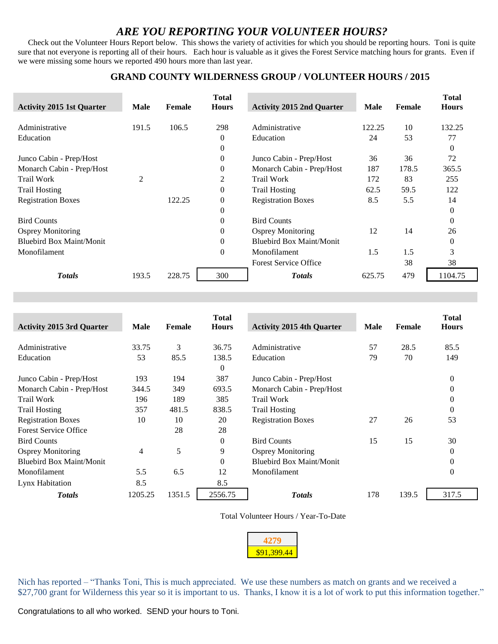## *ARE YOU REPORTING YOUR VOLUNTEER HOURS?*

 Check out the Volunteer Hours Report below. This shows the variety of activities for which you should be reporting hours. Toni is quite sure that not everyone is reporting all of their hours. Each hour is valuable as it gives the Forest Service matching hours for grants. Even if we were missing some hours we reported 490 hours more than last year.

### **GRAND COUNTY WILDERNESS GROUP / VOLUNTEER HOURS / 2015**

| <b>Activity 2015 1st Quarter</b> | <b>Male</b> | Female | <b>Total</b><br><b>Hours</b> | <b>Activity 2015 2nd Quarter</b> | <b>Male</b> | Female | <b>Total</b><br><b>Hours</b> |
|----------------------------------|-------------|--------|------------------------------|----------------------------------|-------------|--------|------------------------------|
| Administrative                   | 191.5       | 106.5  | 298                          | Administrative                   | 122.25      | 10     | 132.25                       |
| Education                        |             |        | $\mathbf{0}$                 | Education                        | 24          | 53     | 77                           |
|                                  |             |        | $\Omega$                     |                                  |             |        | $\Omega$                     |
| Junco Cabin - Prep/Host          |             |        | $\overline{0}$               | Junco Cabin - Prep/Host          | 36          | 36     | 72                           |
| Monarch Cabin - Prep/Host        |             |        | $\theta$                     | Monarch Cabin - Prep/Host        | 187         | 178.5  | 365.5                        |
| <b>Trail Work</b>                | 2           |        | 2                            | <b>Trail Work</b>                | 172         | 83     | 255                          |
| <b>Trail Hosting</b>             |             |        | $\overline{0}$               | <b>Trail Hosting</b>             | 62.5        | 59.5   | 122                          |
| <b>Registration Boxes</b>        |             | 122.25 | $\overline{0}$               | <b>Registration Boxes</b>        | 8.5         | 5.5    | 14                           |
|                                  |             |        | $\theta$                     |                                  |             |        | 0                            |
| <b>Bird Counts</b>               |             |        | $\theta$                     | <b>Bird Counts</b>               |             |        | $\Omega$                     |
| <b>Osprey Monitoring</b>         |             |        | $\Omega$                     | <b>Osprey Monitoring</b>         | 12          | 14     | 26                           |
| <b>Bluebird Box Maint/Monit</b>  |             |        | $\Omega$                     | Bluebird Box Maint/Monit         |             |        | 0                            |
| Monofilament                     |             |        | $\overline{0}$               | Monofilament                     | 1.5         | 1.5    | 3                            |
|                                  |             |        |                              | <b>Forest Service Office</b>     |             | 38     | 38                           |
| <b>Totals</b>                    | 193.5       | 228.75 | 300                          | <b>Totals</b>                    | 625.75      | 479    | 1104.75                      |

| <b>Activity 2015 3rd Quarter</b> | <b>Male</b> | Female | <b>Total</b><br><b>Hours</b> | <b>Activity 2015 4th Quarter</b> | Male | Female | <b>Total</b><br><b>Hours</b> |
|----------------------------------|-------------|--------|------------------------------|----------------------------------|------|--------|------------------------------|
| Administrative                   | 33.75       | 3      | 36.75                        | Administrative                   | 57   | 28.5   | 85.5                         |
| Education                        | 53          | 85.5   | 138.5                        | Education                        | 79   | 70     | 149                          |
|                                  |             |        | $\theta$                     |                                  |      |        |                              |
| Junco Cabin - Prep/Host          | 193         | 194    | 387                          | Junco Cabin - Prep/Host          |      |        | 0                            |
| Monarch Cabin - Prep/Host        | 344.5       | 349    | 693.5                        | Monarch Cabin - Prep/Host        |      |        | 0                            |
| <b>Trail Work</b>                | 196         | 189    | 385                          | <b>Trail Work</b>                |      |        | 0                            |
| <b>Trail Hosting</b>             | 357         | 481.5  | 838.5                        | <b>Trail Hosting</b>             |      |        | 0                            |
| <b>Registration Boxes</b>        | 10          | 10     | 20                           | <b>Registration Boxes</b>        | 27   | 26     | 53                           |
| <b>Forest Service Office</b>     |             | 28     | 28                           |                                  |      |        |                              |
| <b>Bird Counts</b>               |             |        | $\Omega$                     | <b>Bird Counts</b>               | 15   | 15     | 30                           |
| <b>Osprey Monitoring</b>         | 4           | 5      | 9                            | <b>Osprey Monitoring</b>         |      |        | 0                            |
| <b>Bluebird Box Maint/Monit</b>  |             |        | $\theta$                     | <b>Bluebird Box Maint/Monit</b>  |      |        | 0                            |
| Monofilament                     | 5.5         | 6.5    | 12                           | Monofilament                     |      |        | 0                            |
| Lynx Habitation                  | 8.5         |        | 8.5                          |                                  |      |        |                              |
| <b>Totals</b>                    | 1205.25     | 1351.5 | 2556.75                      | <b>Totals</b>                    | 178  | 139.5  | 317.5                        |

Total Volunteer Hours / Year-To-Date

| œ<br>ı<br>y.<br>u |  |  |  |
|-------------------|--|--|--|

Nich has reported – "Thanks Toni, This is much appreciated. We use these numbers as match on grants and we received a \$27,700 grant for Wilderness this year so it is important to us. Thanks, I know it is a lot of work to put this information together."

Congratulations to all who worked. SEND your hours to Toni.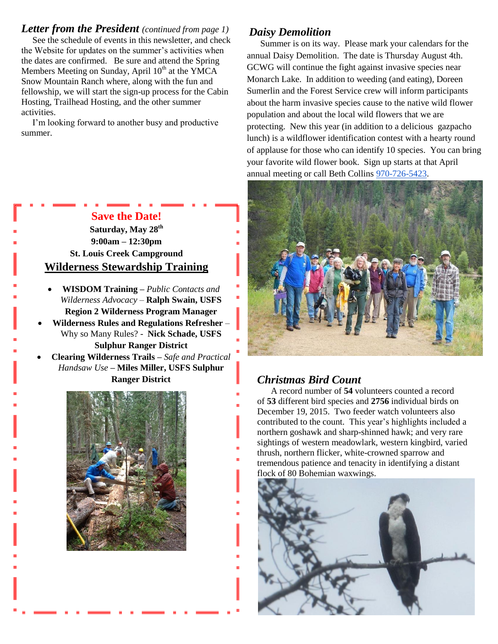*Letter from the President (continued from page 1)* See the schedule of events in this newsletter, and check the Website for updates on the summer's activities when the dates are confirmed. Be sure and attend the Spring Members Meeting on Sunday, April  $10<sup>th</sup>$  at the YMCA Snow Mountain Ranch where, along with the fun and fellowship, we will start the sign-up process for the Cabin Hosting, Trailhead Hosting, and the other summer activities.

 I'm looking forward to another busy and productive summer.

# **Save the Date!**

**Saturday, May 28th 9:00am – 12:30pm St. Louis Creek Campground Wilderness Stewardship Training**

- **WISDOM Training –** *Public Contacts and Wilderness Advocacy* – **Ralph Swain, USFS Region 2 Wilderness Program Manager**
- **Wilderness Rules and Regulations Refresher**  Why so Many Rules? - **Nick Schade, USFS Sulphur Ranger District**
- **Clearing Wilderness Trails –** *Safe and Practical Handsaw Use* **– Miles Miller, USFS Sulphur Ranger District**



## *Daisy Demolition*

 Summer is on its way. Please mark your calendars for the annual Daisy Demolition. The date is Thursday August 4th. GCWG will continue the fight against invasive species near Monarch Lake. In addition to weeding (and eating), Doreen Sumerlin and the Forest Service crew will inform participants about the harm invasive species cause to the native wild flower population and about the local wild flowers that we are protecting. New this year (in addition to a delicious gazpacho lunch) is a wildflower identification contest with a hearty round of applause for those who can identify 10 species. You can bring your favorite wild flower book. Sign up starts at that April annual meeting or call Beth Collins [970-726-5423.](tel:970-726-5423)



# **Christmas Bird Count**

 A record number of **54** volunteers counted a record of **53** different bird species and **2756** individual birds on December 19, 2015. Two feeder watch volunteers also contributed to the count. This year's highlights included a northern goshawk and sharp-shinned hawk; and very rare sightings of western meadowlark, western kingbird, varied thrush, northern flicker, white-crowned sparrow and tremendous patience and tenacity in identifying a distant flock of 80 Bohemian waxwings.

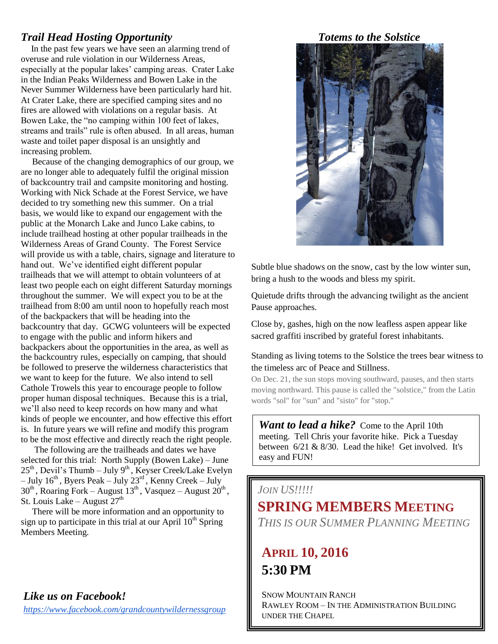## *Trail Head Hosting Opportunity*

 In the past few years we have seen an alarming trend of overuse and rule violation in our Wilderness Areas, especially at the popular lakes' camping areas. Crater Lake in the Indian Peaks Wilderness and Bowen Lake in the Never Summer Wilderness have been particularly hard hit. At Crater Lake, there are specified camping sites and no fires are allowed with violations on a regular basis. At Bowen Lake, the "no camping within 100 feet of lakes, streams and trails" rule is often abused. In all areas, human waste and toilet paper disposal is an unsightly and increasing problem.

 Because of the changing demographics of our group, we are no longer able to adequately fulfil the original mission of backcountry trail and campsite monitoring and hosting. Working with Nick Schade at the Forest Service, we have decided to try something new this summer. On a trial basis, we would like to expand our engagement with the public at the Monarch Lake and Junco Lake cabins, to include trailhead hosting at other popular trailheads in the Wilderness Areas of Grand County. The Forest Service will provide us with a table, chairs, signage and literature to hand out. We've identified eight different popular trailheads that we will attempt to obtain volunteers of at least two people each on eight different Saturday mornings throughout the summer. We will expect you to be at the trailhead from 8:00 am until noon to hopefully reach most of the backpackers that will be heading into the backcountry that day. GCWG volunteers will be expected to engage with the public and inform hikers and backpackers about the opportunities in the area, as well as the backcountry rules, especially on camping, that should be followed to preserve the wilderness characteristics that we want to keep for the future. We also intend to sell Cathole Trowels this year to encourage people to follow proper human disposal techniques. Because this is a trial, we'll also need to keep records on how many and what kinds of people we encounter, and how effective this effort is. In future years we will refine and modify this program to be the most effective and directly reach the right people.

 The following are the trailheads and dates we have selected for this trial: North Supply (Bowen Lake) – June  $25<sup>th</sup>$ , Devil's Thumb – July 9<sup>th</sup>, Keyser Creek/Lake Evelyn – July  $16^{th}$ , Byers Peak – July  $23^{rd}$ , Kenny Creek – July  $30<sup>th</sup>$ , Roaring Fork – August  $13<sup>th</sup>$ , Vasquez – August  $20<sup>th</sup>$ , St. Louis Lake – August  $27<sup>th</sup>$ 

 There will be more information and an opportunity to sign up to participate in this trial at our April  $10<sup>th</sup>$  Spring Members Meeting.

## *Like us on Facebook!*

*<https://www.facebook.com/grandcountywildernessgroup>*

## *Totems to the Solstice*



Subtle blue shadows on the snow, cast by the low winter sun, bring a hush to the woods and bless my spirit.

Quietude drifts through the advancing twilight as the ancient Pause approaches.

Close by, gashes, high on the now leafless aspen appear like sacred graffiti inscribed by grateful forest inhabitants.

Standing as living totems to the Solstice the trees bear witness to the timeless arc of Peace and Stillness.

On Dec. 21, the sun stops moving southward, pauses, and then starts moving northward. This pause is called the "solstice," from the Latin words "sol" for "sun" and "sisto" for "stop."

*Want to lead a hike?* Come to the April 10th meeting. Tell Chris your favorite hike. Pick a Tuesday between  $6/21 \& 8/30$ . Lead the hike! Get involved. It's easy and FUN!

# *JOIN US!!!!!* **SPRING MEMBERS MEETING** *THIS IS OUR SUMMER PLANNING MEETING*

# **APRIL 10, 2016 5:30 PM**

SNOW MOUNTAIN RANCH RAWLEY ROOM – IN THE ADMINISTRATION BUILDING UNDER THE CHAPEL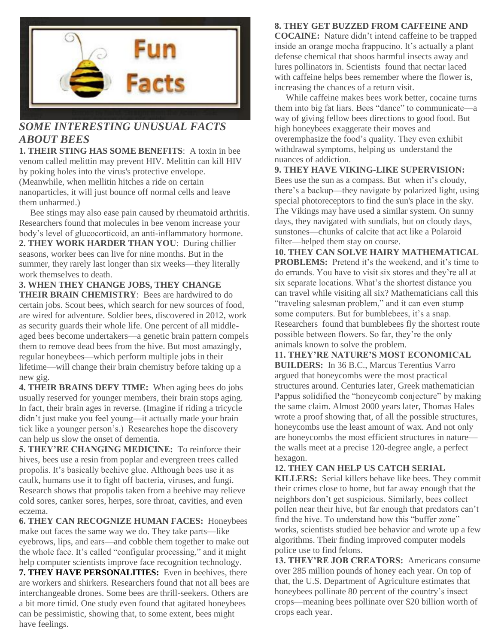

# *SOME INTERESTING UNUSUAL FACTS ABOUT BEES*

**1. THEIR STING HAS SOME BENEFITS**: A toxin in bee venom called melittin may prevent HIV. Melittin can kill HIV by poking holes into the virus's protective envelope. (Meanwhile, when mellitin hitches a ride on certain nanoparticles, it will just bounce off normal cells and leave them unharmed.)

 Bee stings may also ease pain caused by rheumatoid arthritis. Researchers found that molecules in bee venom increase your body's level of glucocorticoid, an anti-inflammatory hormone. **2. THEY WORK HARDER THAN YOU**: During chillier seasons, worker bees can live for nine months. But in the summer, they rarely last longer than six weeks—they literally work themselves to death.

**3. WHEN THEY CHANGE JOBS, THEY CHANGE THEIR BRAIN CHEMISTRY**: Bees are hardwired to do certain jobs. Scout bees, which search for new sources of food, are wired for adventure. Soldier bees, discovered in 2012, work as security guards their whole life. One percent of all middleaged bees become undertakers—a genetic brain pattern compels them to remove dead bees from the hive. But most amazingly, regular honeybees—which perform multiple jobs in their lifetime—will change their brain chemistry before taking up a new gig.

**4. THEIR BRAINS DEFY TIME:** When aging bees do jobs usually reserved for younger members, their brain stops aging. In fact, their brain ages in reverse. (Imagine if riding a tricycle didn't just make you feel young—it actually made your brain tick like a younger person's.) Researches hope the discovery can help us slow the onset of dementia.

**5. THEY'RE CHANGING MEDICINE:** To reinforce their hives, bees use a resin from poplar and evergreen trees called propolis. It's basically beehive glue. Although bees use it as caulk, humans use it to fight off bacteria, viruses, and fungi. Research shows that propolis taken from a beehive may relieve cold sores, canker sores, herpes, sore throat, cavities, and even eczema.

**6. THEY CAN RECOGNIZE HUMAN FACES:** Honeybees make out faces the same way we do. They take parts—like eyebrows, lips, and ears—and cobble them together to make out the whole face. It's called "configular processing," and it might help computer scientists improve face recognition technology. **7. THEY HAVE PERSONALITIES:** Even in beehives, there

are workers and shirkers. Researchers found that not all bees are interchangeable drones. Some bees are thrill-seekers. Others are a bit more timid. One study even found that agitated honeybees can be pessimistic, showing that, to some extent, bees might have feelings.

### **8. THEY GET BUZZED FROM CAFFEINE AND**

**COCAINE:** Nature didn't intend caffeine to be trapped inside an orange mocha frappucino. It's actually a plant defense chemical that shoos harmful insects away and lures pollinators in. Scientists found that nectar laced with caffeine helps bees remember where the flower is, increasing the chances of a return visit.

 While caffeine makes bees work better, cocaine turns them into big fat liars. Bees "dance" to communicate—a way of giving fellow bees directions to good food. But high honeybees exaggerate their moves and overemphasize the food's quality. They even exhibit withdrawal symptoms, helping us understand the nuances of addiction.

### **9. THEY HAVE VIKING-LIKE SUPERVISION:**

Bees use the sun as a compass. But when it's cloudy, there's a backup—they navigate by polarized light, using special photoreceptors to find the sun's place in the sky. The Vikings may have used a similar system. On sunny days, they navigated with sundials, but on cloudy days, sunstones—chunks of calcite that act like a Polaroid filter—helped them stay on course.

**10. THEY CAN SOLVE HAIRY MATHEMATICAL PROBLEMS:** Pretend it's the weekend, and it's time to do errands. You have to visit six stores and they're all at six separate locations. What's the shortest distance you can travel while visiting all six? Mathematicians call this "traveling salesman problem," and it can even stump some computers. But for bumblebees, it's a snap. Researchers found that bumblebees fly the shortest route possible between flowers. So far, they're the only animals known to solve the problem.

**11. THEY'RE NATURE'S MOST ECONOMICAL BUILDERS:** In 36 B.C., Marcus Terentius Varro argued that honeycombs were the most practical structures around. Centuries later, Greek mathematician Pappus solidified the "honeycomb conjecture" by making the same claim. Almost 2000 years later, Thomas Hales wrote a proof showing that, of all the possible structures, honeycombs use the least amount of wax. And not only are honeycombs the most efficient structures in nature the walls meet at a precise 120-degree angle, a perfect hexagon.

### **12. THEY CAN HELP US CATCH SERIAL**

**KILLERS:** Serial killers behave like bees. They commit their crimes close to home, but far away enough that the neighbors don't get suspicious. Similarly, bees collect pollen near their hive, but far enough that predators can't find the hive. To understand how this "buffer zone" works, scientists studied bee behavior and wrote up a few algorithms. Their finding improved computer models police use to find felons.

**13. THEY'RE JOB CREATORS:** Americans consume over 285 million pounds of honey each year. On top of that, the U.S. Department of Agriculture estimates that honeybees pollinate 80 percent of the country's insect crops—meaning bees pollinate over \$20 billion worth of crops each year.